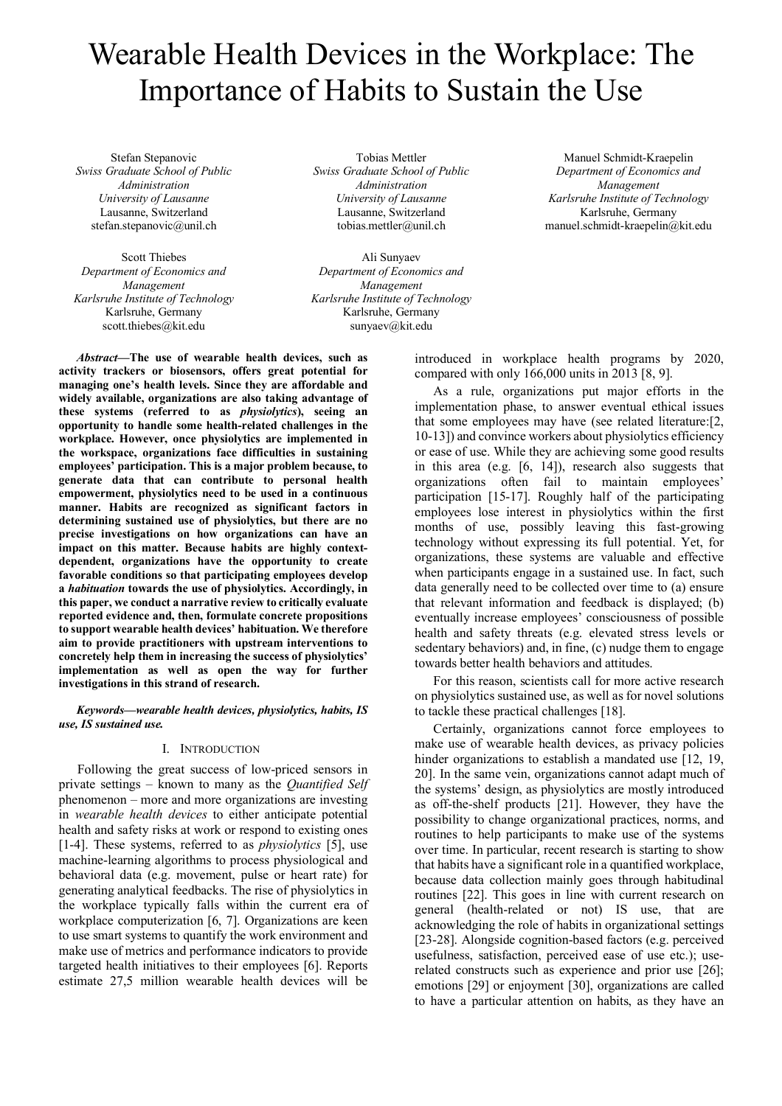# Wearable Health Devices in the Workplace: The Importance of Habits to Sustain the Use

Stefan Stepanovic *Swiss Graduate School of Public Administration University of Lausanne* Lausanne, Switzerland stefan.stepanovic@unil.ch

Scott Thiebes *Department of Economics and Management Karlsruhe Institute of Technology* Karlsruhe, Germany scott.thiebes@kit.edu

Tobias Mettler *Swiss Graduate School of Public Administration University of Lausanne* Lausanne, Switzerland tobias.mettler@unil.ch

Ali Sunyaev *Department of Economics and Management Karlsruhe Institute of Technology* Karlsruhe, Germany sunyaev@kit.edu

Manuel Schmidt-Kraepelin *Department of Economics and Management Karlsruhe Institute of Technology* Karlsruhe, Germany manuel.schmidt-kraepelin@kit.edu

*Abstract***—The use of wearable health devices, such as activity trackers or biosensors, offers great potential for managing one's health levels. Since they are affordable and widely available, organizations are also taking advantage of these systems (referred to as** *physiolytics***), seeing an opportunity to handle some health-related challenges in the workplace. However, once physiolytics are implemented in the workspace, organizations face difficulties in sustaining employees' participation. This is a major problem because, to generate data that can contribute to personal health empowerment, physiolytics need to be used in a continuous manner. Habits are recognized as significant factors in determining sustained use of physiolytics, but there are no precise investigations on how organizations can have an impact on this matter. Because habits are highly contextdependent, organizations have the opportunity to create favorable conditions so that participating employees develop a** *habituation* **towards the use of physiolytics. Accordingly, in this paper, we conduct a narrative review to critically evaluate reported evidence and, then, formulate concrete propositions to support wearable health devices' habituation. We therefore aim to provide practitioners with upstream interventions to concretely help them in increasing the success of physiolytics' implementation as well as open the way for further investigations in this strand of research.**

*Keywords—wearable health devices, physiolytics, habits, IS use, IS sustained use.*

## I. INTRODUCTION

Following the great success of low-priced sensors in private settings – known to many as the *Quantified Self* phenomenon – more and more organizations are investing in *wearable health devices* to either anticipate potential health and safety risks at work or respond to existing ones [1-4]. These systems, referred to as *physiolytics* [5], use machine-learning algorithms to process physiological and behavioral data (e.g. movement, pulse or heart rate) for generating analytical feedbacks. The rise of physiolytics in the workplace typically falls within the current era of workplace computerization [6, 7]. Organizations are keen to use smart systems to quantify the work environment and make use of metrics and performance indicators to provide targeted health initiatives to their employees [6]. Reports estimate 27,5 million wearable health devices will be

introduced in workplace health programs by 2020, compared with only 166,000 units in 2013 [8, 9].

As a rule, organizations put major efforts in the implementation phase, to answer eventual ethical issues that some employees may have (see related literature:[2, 10-13]) and convince workers about physiolytics efficiency or ease of use. While they are achieving some good results in this area (e.g. [6, 14]), research also suggests that organizations often fail to maintain employees' participation [15-17]. Roughly half of the participating employees lose interest in physiolytics within the first months of use, possibly leaving this fast-growing technology without expressing its full potential. Yet, for organizations, these systems are valuable and effective when participants engage in a sustained use. In fact, such data generally need to be collected over time to (a) ensure that relevant information and feedback is displayed; (b) eventually increase employees' consciousness of possible health and safety threats (e.g. elevated stress levels or sedentary behaviors) and, in fine, (c) nudge them to engage towards better health behaviors and attitudes.

For this reason, scientists call for more active research on physiolytics sustained use, as well as for novel solutions to tackle these practical challenges [18].

Certainly, organizations cannot force employees to make use of wearable health devices, as privacy policies hinder organizations to establish a mandated use [12, 19, 20]. In the same vein, organizations cannot adapt much of the systems' design, as physiolytics are mostly introduced as off-the-shelf products [21]. However, they have the possibility to change organizational practices, norms, and routines to help participants to make use of the systems over time. In particular, recent research is starting to show that habits have a significant role in a quantified workplace, because data collection mainly goes through habitudinal routines [22]. This goes in line with current research on general (health-related or not) IS use, that are acknowledging the role of habits in organizational settings [23-28]. Alongside cognition-based factors (e.g. perceived usefulness, satisfaction, perceived ease of use etc.); userelated constructs such as experience and prior use [26]; emotions [29] or enjoyment [30], organizations are called to have a particular attention on habits, as they have an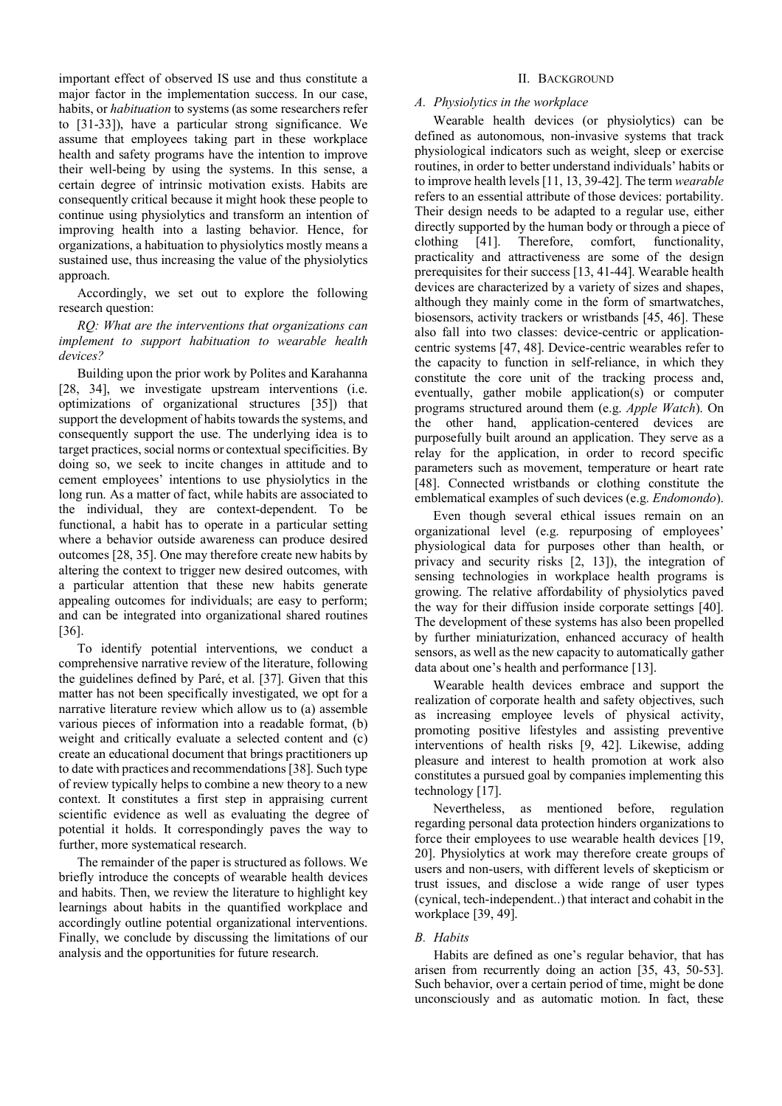important effect of observed IS use and thus constitute a major factor in the implementation success. In our case, habits, or *habituation* to systems (as some researchers refer to [31-33]), have a particular strong significance. We assume that employees taking part in these workplace health and safety programs have the intention to improve their well-being by using the systems. In this sense, a certain degree of intrinsic motivation exists. Habits are consequently critical because it might hook these people to continue using physiolytics and transform an intention of improving health into a lasting behavior. Hence, for organizations, a habituation to physiolytics mostly means a sustained use, thus increasing the value of the physiolytics approach.

Accordingly, we set out to explore the following research question:

*RQ: What are the interventions that organizations can implement to support habituation to wearable health devices?*

Building upon the prior work by Polites and Karahanna [28, 34], we investigate upstream interventions (i.e. optimizations of organizational structures [35]) that support the development of habits towards the systems, and consequently support the use. The underlying idea is to target practices, social norms or contextual specificities. By doing so, we seek to incite changes in attitude and to cement employees' intentions to use physiolytics in the long run. As a matter of fact, while habits are associated to the individual, they are context-dependent. To be functional, a habit has to operate in a particular setting where a behavior outside awareness can produce desired outcomes [28, 35]. One may therefore create new habits by altering the context to trigger new desired outcomes, with a particular attention that these new habits generate appealing outcomes for individuals; are easy to perform; and can be integrated into organizational shared routines [36].

To identify potential interventions, we conduct a comprehensive narrative review of the literature, following the guidelines defined by Paré, et al. [37]. Given that this matter has not been specifically investigated, we opt for a narrative literature review which allow us to (a) assemble various pieces of information into a readable format, (b) weight and critically evaluate a selected content and (c) create an educational document that brings practitioners up to date with practices and recommendations [38]. Such type of review typically helps to combine a new theory to a new context. It constitutes a first step in appraising current scientific evidence as well as evaluating the degree of potential it holds. It correspondingly paves the way to further, more systematical research.

The remainder of the paper is structured as follows. We briefly introduce the concepts of wearable health devices and habits. Then, we review the literature to highlight key learnings about habits in the quantified workplace and accordingly outline potential organizational interventions. Finally, we conclude by discussing the limitations of our analysis and the opportunities for future research.

# II. BACKGROUND

# *A. Physiolytics in the workplace*

Wearable health devices (or physiolytics) can be defined as autonomous, non-invasive systems that track physiological indicators such as weight, sleep or exercise routines, in order to better understand individuals' habits or to improve health levels [11, 13, 39-42]. The term *wearable* refers to an essential attribute of those devices: portability. Their design needs to be adapted to a regular use, either directly supported by the human body or through a piece of clothing [41]. Therefore, comfort, functionality, practicality and attractiveness are some of the design prerequisites for their success [13, 41-44]. Wearable health devices are characterized by a variety of sizes and shapes, although they mainly come in the form of smartwatches, biosensors, activity trackers or wristbands [45, 46]. These also fall into two classes: device-centric or applicationcentric systems [47, 48]. Device-centric wearables refer to the capacity to function in self-reliance, in which they constitute the core unit of the tracking process and, eventually, gather mobile application(s) or computer programs structured around them (e.g. *Apple Watch*). On the other hand, application-centered devices are purposefully built around an application. They serve as a relay for the application, in order to record specific parameters such as movement, temperature or heart rate [48]. Connected wristbands or clothing constitute the emblematical examples of such devices (e.g. *Endomondo*).

Even though several ethical issues remain on an organizational level (e.g. repurposing of employees' physiological data for purposes other than health, or privacy and security risks [2, 13]), the integration of sensing technologies in workplace health programs is growing. The relative affordability of physiolytics paved the way for their diffusion inside corporate settings [40]. The development of these systems has also been propelled by further miniaturization, enhanced accuracy of health sensors, as well as the new capacity to automatically gather data about one's health and performance [13].

Wearable health devices embrace and support the realization of corporate health and safety objectives, such as increasing employee levels of physical activity, promoting positive lifestyles and assisting preventive interventions of health risks [9, 42]. Likewise, adding pleasure and interest to health promotion at work also constitutes a pursued goal by companies implementing this technology [17].

Nevertheless, as mentioned before, regulation regarding personal data protection hinders organizations to force their employees to use wearable health devices [19, 20]. Physiolytics at work may therefore create groups of users and non-users, with different levels of skepticism or trust issues, and disclose a wide range of user types (cynical, tech-independent..) that interact and cohabit in the workplace [39, 49].

#### *B. Habits*

Habits are defined as one's regular behavior, that has arisen from recurrently doing an action [35, 43, 50-53]. Such behavior, over a certain period of time, might be done unconsciously and as automatic motion. In fact, these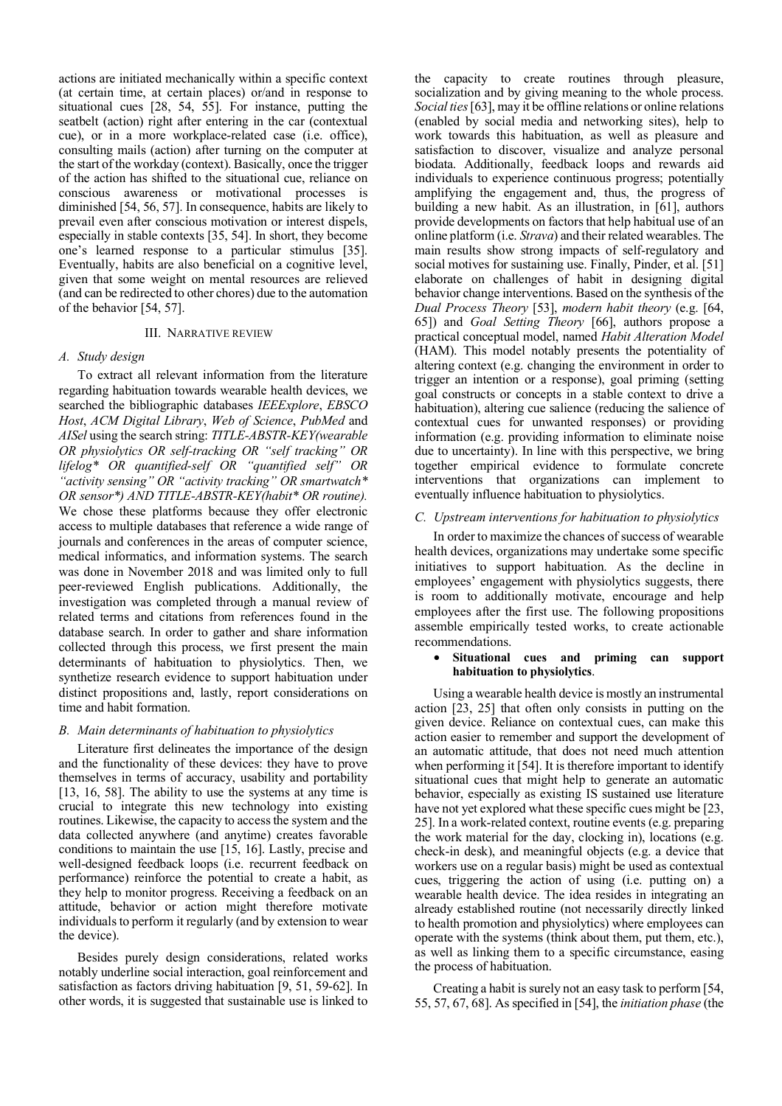actions are initiated mechanically within a specific context (at certain time, at certain places) or/and in response to situational cues [28, 54, 55]. For instance, putting the seatbelt (action) right after entering in the car (contextual cue), or in a more workplace-related case (i.e. office), consulting mails (action) after turning on the computer at the start of the workday (context). Basically, once the trigger of the action has shifted to the situational cue, reliance on conscious awareness or motivational processes is diminished [54, 56, 57]. In consequence, habits are likely to prevail even after conscious motivation or interest dispels, especially in stable contexts [35, 54]. In short, they become one's learned response to a particular stimulus [35]. Eventually, habits are also beneficial on a cognitive level, given that some weight on mental resources are relieved (and can be redirected to other chores) due to the automation of the behavior [54, 57].

#### III. NARRATIVE REVIEW

#### *A. Study design*

To extract all relevant information from the literature regarding habituation towards wearable health devices, we searched the bibliographic databases *IEEExplore*, *EBSCO Host*, *ACM Digital Library*, *Web of Science*, *PubMed* and *AISel* using the search string: *TITLE-ABSTR-KEY(wearable OR physiolytics OR self-tracking OR "self tracking" OR lifelog\* OR quantified-self OR "quantified self" OR "activity sensing" OR "activity tracking" OR smartwatch\* OR sensor\*) AND TITLE-ABSTR-KEY(habit\* OR routine).* We chose these platforms because they offer electronic access to multiple databases that reference a wide range of journals and conferences in the areas of computer science, medical informatics, and information systems. The search was done in November 2018 and was limited only to full peer-reviewed English publications. Additionally, the investigation was completed through a manual review of related terms and citations from references found in the database search. In order to gather and share information collected through this process, we first present the main determinants of habituation to physiolytics. Then, we synthetize research evidence to support habituation under distinct propositions and, lastly, report considerations on time and habit formation.

#### *B. Main determinants of habituation to physiolytics*

Literature first delineates the importance of the design and the functionality of these devices: they have to prove themselves in terms of accuracy, usability and portability [13, 16, 58]. The ability to use the systems at any time is crucial to integrate this new technology into existing routines. Likewise, the capacity to access the system and the data collected anywhere (and anytime) creates favorable conditions to maintain the use [15, 16]. Lastly, precise and well-designed feedback loops (i.e. recurrent feedback on performance) reinforce the potential to create a habit, as they help to monitor progress. Receiving a feedback on an attitude, behavior or action might therefore motivate individuals to perform it regularly (and by extension to wear the device).

Besides purely design considerations, related works notably underline social interaction, goal reinforcement and satisfaction as factors driving habituation [9, 51, 59-62]. In other words, it is suggested that sustainable use is linked to the capacity to create routines through pleasure, socialization and by giving meaning to the whole process. *Social ties*[63], may it be offline relations or online relations (enabled by social media and networking sites), help to work towards this habituation, as well as pleasure and satisfaction to discover, visualize and analyze personal biodata. Additionally, feedback loops and rewards aid individuals to experience continuous progress; potentially amplifying the engagement and, thus, the progress of building a new habit. As an illustration, in [61], authors provide developments on factors that help habitual use of an online platform (i.e. *Strava*) and their related wearables. The main results show strong impacts of self-regulatory and social motives for sustaining use. Finally, Pinder, et al. [51] elaborate on challenges of habit in designing digital behavior change interventions. Based on the synthesis of the *Dual Process Theory* [53], *modern habit theory* (e.g. [64, 65]) and *Goal Setting Theory* [66], authors propose a practical conceptual model, named *Habit Alteration Model* (HAM). This model notably presents the potentiality of altering context (e.g. changing the environment in order to trigger an intention or a response), goal priming (setting goal constructs or concepts in a stable context to drive a habituation), altering cue salience (reducing the salience of contextual cues for unwanted responses) or providing information (e.g. providing information to eliminate noise due to uncertainty). In line with this perspective, we bring together empirical evidence to formulate concrete interventions that organizations can implement to eventually influence habituation to physiolytics.

#### *C. Upstream interventions for habituation to physiolytics*

In order to maximize the chances of success of wearable health devices, organizations may undertake some specific initiatives to support habituation. As the decline in employees' engagement with physiolytics suggests, there is room to additionally motivate, encourage and help employees after the first use. The following propositions assemble empirically tested works, to create actionable recommendations.

#### • **Situational cues and priming can support habituation to physiolytics**.

Using a wearable health device is mostly an instrumental action [23, 25] that often only consists in putting on the given device. Reliance on contextual cues, can make this action easier to remember and support the development of an automatic attitude, that does not need much attention when performing it [54]. It is therefore important to identify situational cues that might help to generate an automatic behavior, especially as existing IS sustained use literature have not yet explored what these specific cues might be [23, 25]. In a work-related context, routine events (e.g. preparing the work material for the day, clocking in), locations (e.g. check-in desk), and meaningful objects (e.g. a device that workers use on a regular basis) might be used as contextual cues, triggering the action of using (i.e. putting on) a wearable health device. The idea resides in integrating an already established routine (not necessarily directly linked to health promotion and physiolytics) where employees can operate with the systems (think about them, put them, etc.), as well as linking them to a specific circumstance, easing the process of habituation.

Creating a habit is surely not an easy task to perform [54, 55, 57, 67, 68]. As specified in [54], the *initiation phase* (the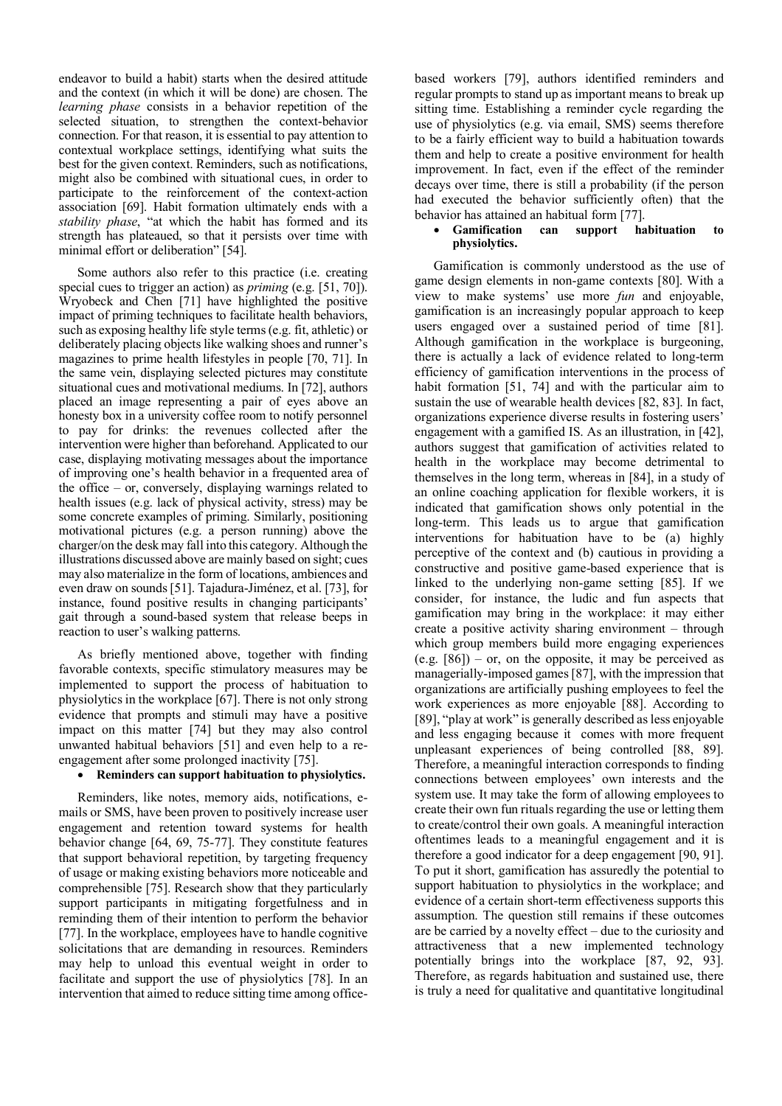endeavor to build a habit) starts when the desired attitude and the context (in which it will be done) are chosen. The *learning phase* consists in a behavior repetition of the selected situation, to strengthen the context-behavior connection. For that reason, it is essential to pay attention to contextual workplace settings, identifying what suits the best for the given context. Reminders, such as notifications, might also be combined with situational cues, in order to participate to the reinforcement of the context-action association [69]. Habit formation ultimately ends with a *stability phase*, "at which the habit has formed and its strength has plateaued, so that it persists over time with minimal effort or deliberation" [54].

Some authors also refer to this practice (i.e. creating special cues to trigger an action) as *priming* (e.g. [51, 70]). Wryobeck and Chen [71] have highlighted the positive impact of priming techniques to facilitate health behaviors, such as exposing healthy life style terms (e.g. fit, athletic) or deliberately placing objects like walking shoes and runner's magazines to prime health lifestyles in people [70, 71]. In the same vein, displaying selected pictures may constitute situational cues and motivational mediums. In [72], authors placed an image representing a pair of eyes above an honesty box in a university coffee room to notify personnel to pay for drinks: the revenues collected after the intervention were higher than beforehand. Applicated to our case, displaying motivating messages about the importance of improving one's health behavior in a frequented area of the office – or, conversely, displaying warnings related to health issues (e.g. lack of physical activity, stress) may be some concrete examples of priming. Similarly, positioning motivational pictures (e.g. a person running) above the charger/on the desk may fall into this category. Although the illustrations discussed above are mainly based on sight; cues may also materialize in the form of locations, ambiences and even draw on sounds [51]. Tajadura-Jiménez, et al. [73], for instance, found positive results in changing participants' gait through a sound-based system that release beeps in reaction to user's walking patterns.

As briefly mentioned above, together with finding favorable contexts, specific stimulatory measures may be implemented to support the process of habituation to physiolytics in the workplace [67]. There is not only strong evidence that prompts and stimuli may have a positive impact on this matter [74] but they may also control unwanted habitual behaviors [51] and even help to a reengagement after some prolonged inactivity [75].

# • **Reminders can support habituation to physiolytics.**

Reminders, like notes, memory aids, notifications, emails or SMS, have been proven to positively increase user engagement and retention toward systems for health behavior change [64, 69, 75-77]. They constitute features that support behavioral repetition, by targeting frequency of usage or making existing behaviors more noticeable and comprehensible [75]. Research show that they particularly support participants in mitigating forgetfulness and in reminding them of their intention to perform the behavior [77]. In the workplace, employees have to handle cognitive solicitations that are demanding in resources. Reminders may help to unload this eventual weight in order to facilitate and support the use of physiolytics [78]. In an intervention that aimed to reduce sitting time among officebased workers [79], authors identified reminders and regular prompts to stand up as important means to break up sitting time. Establishing a reminder cycle regarding the use of physiolytics (e.g. via email, SMS) seems therefore to be a fairly efficient way to build a habituation towards them and help to create a positive environment for health improvement. In fact, even if the effect of the reminder decays over time, there is still a probability (if the person had executed the behavior sufficiently often) that the behavior has attained an habitual form [77].

### • **Gamification can support habituation to physiolytics.**

Gamification is commonly understood as the use of game design elements in non-game contexts [80]. With a view to make systems' use more *fun* and enjoyable, gamification is an increasingly popular approach to keep users engaged over a sustained period of time [81]. Although gamification in the workplace is burgeoning, there is actually a lack of evidence related to long-term efficiency of gamification interventions in the process of habit formation [51, 74] and with the particular aim to sustain the use of wearable health devices [82, 83]. In fact, organizations experience diverse results in fostering users' engagement with a gamified IS. As an illustration, in [42], authors suggest that gamification of activities related to health in the workplace may become detrimental to themselves in the long term, whereas in [84], in a study of an online coaching application for flexible workers, it is indicated that gamification shows only potential in the long-term. This leads us to argue that gamification interventions for habituation have to be (a) highly perceptive of the context and (b) cautious in providing a constructive and positive game-based experience that is linked to the underlying non-game setting [85]. If we consider, for instance, the ludic and fun aspects that gamification may bring in the workplace: it may either create a positive activity sharing environment – through which group members build more engaging experiences  $(e.g. [86])$  – or, on the opposite, it may be perceived as managerially-imposed games[87], with the impression that organizations are artificially pushing employees to feel the work experiences as more enjoyable [88]. According to [89], "play at work" is generally described as less enjoyable and less engaging because it comes with more frequent unpleasant experiences of being controlled [88, 89]. Therefore, a meaningful interaction corresponds to finding connections between employees' own interests and the system use. It may take the form of allowing employees to create their own fun rituals regarding the use or letting them to create/control their own goals. A meaningful interaction oftentimes leads to a meaningful engagement and it is therefore a good indicator for a deep engagement [90, 91]. To put it short, gamification has assuredly the potential to support habituation to physiolytics in the workplace; and evidence of a certain short-term effectiveness supports this assumption. The question still remains if these outcomes are be carried by a novelty effect – due to the curiosity and attractiveness that a new implemented technology potentially brings into the workplace [87, 92, 93]. Therefore, as regards habituation and sustained use, there is truly a need for qualitative and quantitative longitudinal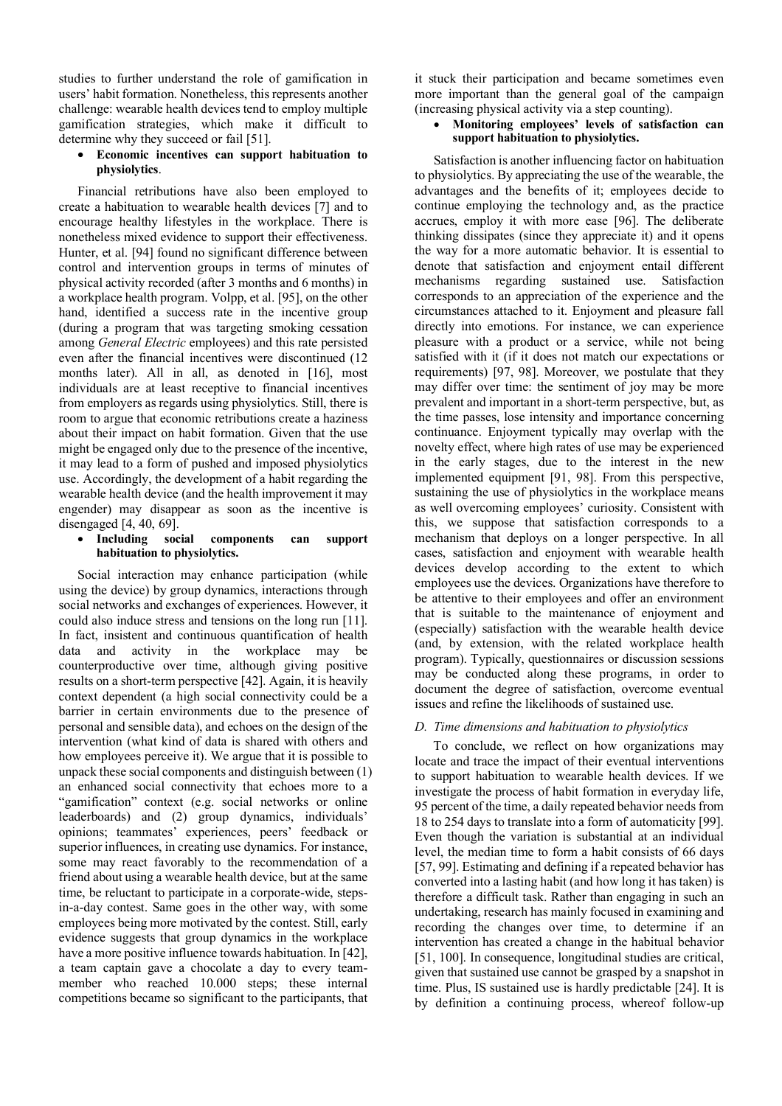studies to further understand the role of gamification in users' habit formation. Nonetheless, this represents another challenge: wearable health devices tend to employ multiple gamification strategies, which make it difficult to determine why they succeed or fail [51].

# • **Economic incentives can support habituation to physiolytics**.

Financial retributions have also been employed to create a habituation to wearable health devices [7] and to encourage healthy lifestyles in the workplace. There is nonetheless mixed evidence to support their effectiveness. Hunter, et al. [94] found no significant difference between control and intervention groups in terms of minutes of physical activity recorded (after 3 months and 6 months) in a workplace health program. Volpp, et al. [95], on the other hand, identified a success rate in the incentive group (during a program that was targeting smoking cessation among *General Electric* employees) and this rate persisted even after the financial incentives were discontinued (12 months later). All in all, as denoted in [16], most individuals are at least receptive to financial incentives from employers as regards using physiolytics. Still, there is room to argue that economic retributions create a haziness about their impact on habit formation. Given that the use might be engaged only due to the presence of the incentive, it may lead to a form of pushed and imposed physiolytics use. Accordingly, the development of a habit regarding the wearable health device (and the health improvement it may engender) may disappear as soon as the incentive is disengaged [4, 40, 69].

# • **Including social components can support habituation to physiolytics.**

Social interaction may enhance participation (while using the device) by group dynamics, interactions through social networks and exchanges of experiences. However, it could also induce stress and tensions on the long run [11]. In fact, insistent and continuous quantification of health data and activity in the workplace may be counterproductive over time, although giving positive results on a short-term perspective [42]. Again, it is heavily context dependent (a high social connectivity could be a barrier in certain environments due to the presence of personal and sensible data), and echoes on the design of the intervention (what kind of data is shared with others and how employees perceive it). We argue that it is possible to unpack these social components and distinguish between (1) an enhanced social connectivity that echoes more to a "gamification" context (e.g. social networks or online leaderboards) and (2) group dynamics, individuals' opinions; teammates' experiences, peers' feedback or superior influences, in creating use dynamics. For instance, some may react favorably to the recommendation of a friend about using a wearable health device, but at the same time, be reluctant to participate in a corporate-wide, stepsin-a-day contest. Same goes in the other way, with some employees being more motivated by the contest. Still, early evidence suggests that group dynamics in the workplace have a more positive influence towards habituation. In [42], a team captain gave a chocolate a day to every teammember who reached 10.000 steps; these internal competitions became so significant to the participants, that

it stuck their participation and became sometimes even more important than the general goal of the campaign (increasing physical activity via a step counting).

• **Monitoring employees' levels of satisfaction can support habituation to physiolytics.**

Satisfaction is another influencing factor on habituation to physiolytics. By appreciating the use of the wearable, the advantages and the benefits of it; employees decide to continue employing the technology and, as the practice accrues, employ it with more ease [96]. The deliberate thinking dissipates (since they appreciate it) and it opens the way for a more automatic behavior. It is essential to denote that satisfaction and enjoyment entail different mechanisms regarding sustained use. Satisfaction corresponds to an appreciation of the experience and the circumstances attached to it. Enjoyment and pleasure fall directly into emotions. For instance, we can experience pleasure with a product or a service, while not being satisfied with it (if it does not match our expectations or requirements) [97, 98]. Moreover, we postulate that they may differ over time: the sentiment of joy may be more prevalent and important in a short-term perspective, but, as the time passes, lose intensity and importance concerning continuance. Enjoyment typically may overlap with the novelty effect, where high rates of use may be experienced in the early stages, due to the interest in the new implemented equipment [91, 98]. From this perspective, sustaining the use of physiolytics in the workplace means as well overcoming employees' curiosity. Consistent with this, we suppose that satisfaction corresponds to a mechanism that deploys on a longer perspective. In all cases, satisfaction and enjoyment with wearable health devices develop according to the extent to which employees use the devices. Organizations have therefore to be attentive to their employees and offer an environment that is suitable to the maintenance of enjoyment and (especially) satisfaction with the wearable health device (and, by extension, with the related workplace health program). Typically, questionnaires or discussion sessions may be conducted along these programs, in order to document the degree of satisfaction, overcome eventual issues and refine the likelihoods of sustained use.

# *D. Time dimensions and habituation to physiolytics*

To conclude, we reflect on how organizations may locate and trace the impact of their eventual interventions to support habituation to wearable health devices. If we investigate the process of habit formation in everyday life, 95 percent of the time, a daily repeated behavior needs from 18 to 254 days to translate into a form of automaticity [99]. Even though the variation is substantial at an individual level, the median time to form a habit consists of 66 days [57, 99]. Estimating and defining if a repeated behavior has converted into a lasting habit (and how long it has taken) is therefore a difficult task. Rather than engaging in such an undertaking, research has mainly focused in examining and recording the changes over time, to determine if an intervention has created a change in the habitual behavior [51, 100]. In consequence, longitudinal studies are critical, given that sustained use cannot be grasped by a snapshot in time. Plus, IS sustained use is hardly predictable [24]. It is by definition a continuing process, whereof follow-up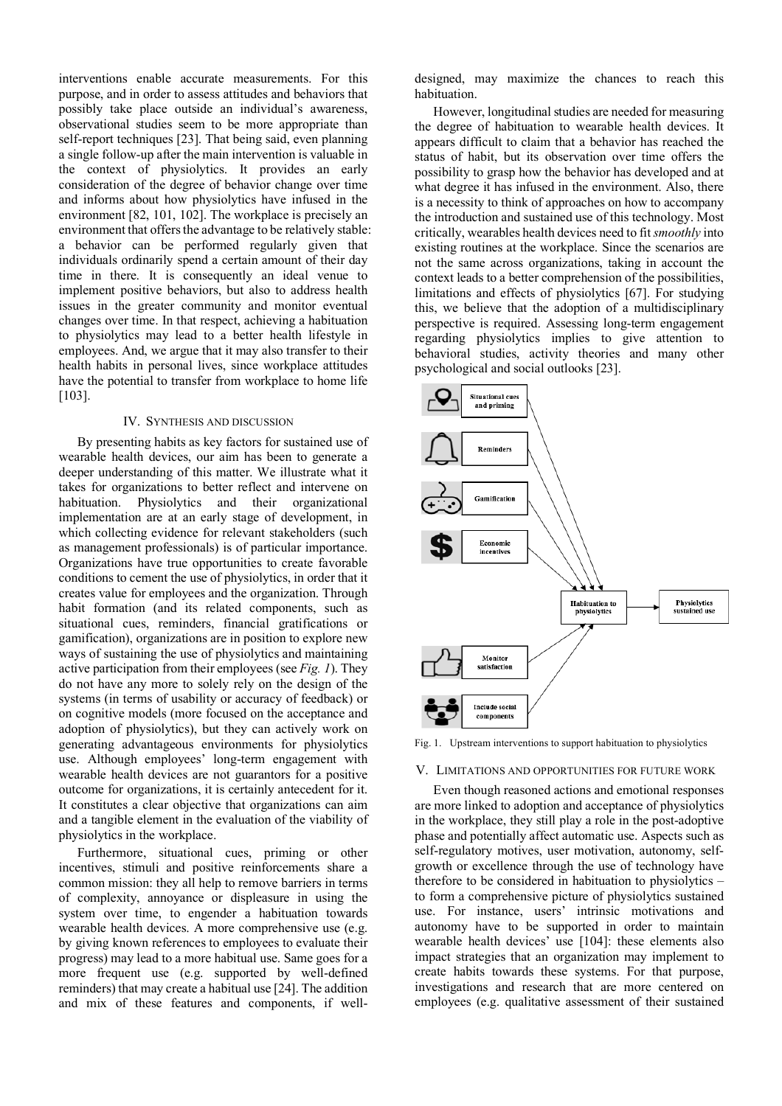interventions enable accurate measurements. For this purpose, and in order to assess attitudes and behaviors that possibly take place outside an individual's awareness, observational studies seem to be more appropriate than self-report techniques [23]. That being said, even planning a single follow-up after the main intervention is valuable in the context of physiolytics. It provides an early consideration of the degree of behavior change over time and informs about how physiolytics have infused in the environment [82, 101, 102]. The workplace is precisely an environment that offers the advantage to be relatively stable: a behavior can be performed regularly given that individuals ordinarily spend a certain amount of their day time in there. It is consequently an ideal venue to implement positive behaviors, but also to address health issues in the greater community and monitor eventual changes over time. In that respect, achieving a habituation to physiolytics may lead to a better health lifestyle in employees. And, we argue that it may also transfer to their health habits in personal lives, since workplace attitudes have the potential to transfer from workplace to home life [103].

#### IV. SYNTHESIS AND DISCUSSION

By presenting habits as key factors for sustained use of wearable health devices, our aim has been to generate a deeper understanding of this matter. We illustrate what it takes for organizations to better reflect and intervene on habituation. Physiolytics and their organizational implementation are at an early stage of development, in which collecting evidence for relevant stakeholders (such as management professionals) is of particular importance. Organizations have true opportunities to create favorable conditions to cement the use of physiolytics, in order that it creates value for employees and the organization. Through habit formation (and its related components, such as situational cues, reminders, financial gratifications or gamification), organizations are in position to explore new ways of sustaining the use of physiolytics and maintaining active participation from their employees (see *Fig. 1*). They do not have any more to solely rely on the design of the systems (in terms of usability or accuracy of feedback) or on cognitive models (more focused on the acceptance and adoption of physiolytics), but they can actively work on generating advantageous environments for physiolytics use. Although employees' long-term engagement with wearable health devices are not guarantors for a positive outcome for organizations, it is certainly antecedent for it. It constitutes a clear objective that organizations can aim and a tangible element in the evaluation of the viability of physiolytics in the workplace.

Furthermore, situational cues, priming or other incentives, stimuli and positive reinforcements share a common mission: they all help to remove barriers in terms of complexity, annoyance or displeasure in using the system over time, to engender a habituation towards wearable health devices. A more comprehensive use (e.g. by giving known references to employees to evaluate their progress) may lead to a more habitual use. Same goes for a more frequent use (e.g. supported by well-defined reminders) that may create a habitual use [24]. The addition and mix of these features and components, if welldesigned, may maximize the chances to reach this habituation.

However, longitudinal studies are needed for measuring the degree of habituation to wearable health devices. It appears difficult to claim that a behavior has reached the status of habit, but its observation over time offers the possibility to grasp how the behavior has developed and at what degree it has infused in the environment. Also, there is a necessity to think of approaches on how to accompany the introduction and sustained use of this technology. Most critically, wearables health devices need to fit *smoothly* into existing routines at the workplace. Since the scenarios are not the same across organizations, taking in account the context leads to a better comprehension of the possibilities, limitations and effects of physiolytics [67]. For studying this, we believe that the adoption of a multidisciplinary perspective is required. Assessing long-term engagement regarding physiolytics implies to give attention to behavioral studies, activity theories and many other psychological and social outlooks [23].



Fig. 1. Upstream interventions to support habituation to physiolytics

# V. LIMITATIONS AND OPPORTUNITIES FOR FUTURE WORK

Even though reasoned actions and emotional responses are more linked to adoption and acceptance of physiolytics in the workplace, they still play a role in the post-adoptive phase and potentially affect automatic use. Aspects such as self-regulatory motives, user motivation, autonomy, selfgrowth or excellence through the use of technology have therefore to be considered in habituation to physiolytics – to form a comprehensive picture of physiolytics sustained use. For instance, users' intrinsic motivations and autonomy have to be supported in order to maintain wearable health devices' use [104]: these elements also impact strategies that an organization may implement to create habits towards these systems. For that purpose, investigations and research that are more centered on employees (e.g. qualitative assessment of their sustained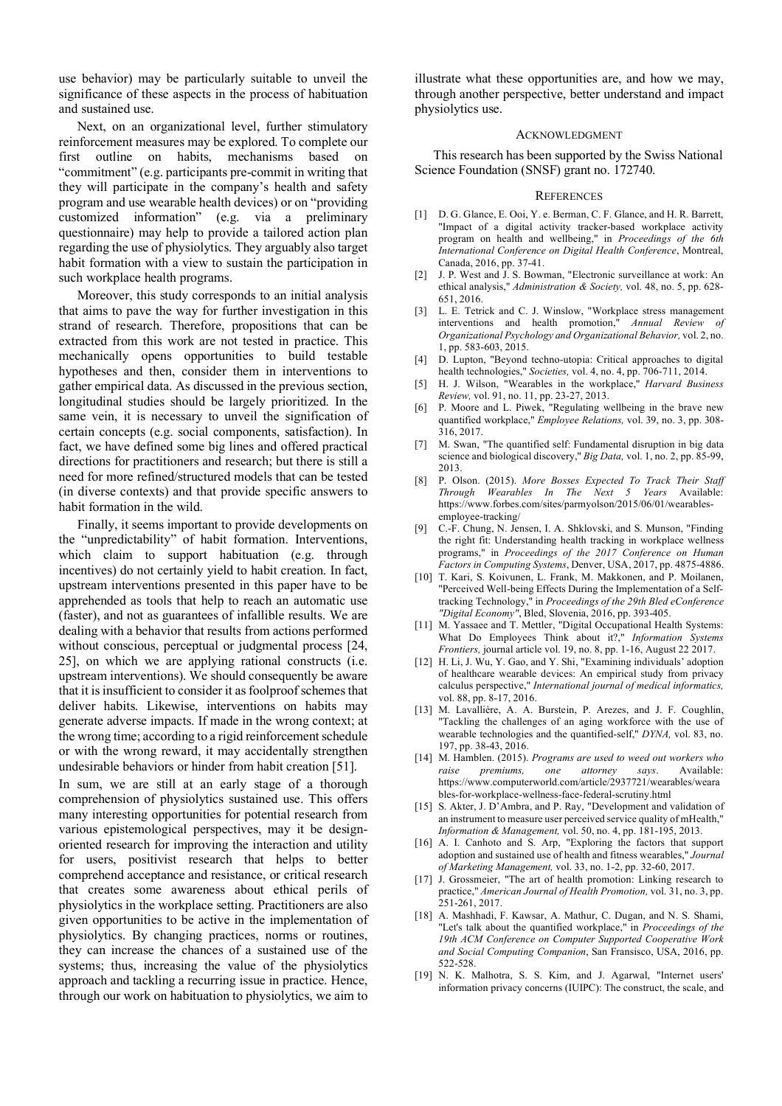use behavior) may be particularly suitable to unveil the significance of these aspects in the process of habituation and sustained use.

Next, on an organizational level, further stimulatory reinforcement measures may be explored. To complete our first outline on habits, mechanisms based on "commitment" (e.g. participants pre-commit in writing that they will participate in the company's health and safety program and use wearable health devices) or on "providing customized information" (e.g. via a preliminary questionnaire) may help to provide a tailored action plan regarding the use of physiolytics. They arguably also target habit formation with a view to sustain the participation in such workplace health programs.

Moreover, this study corresponds to an initial analysis that aims to pave the way for further investigation in this strand of research. Therefore, propositions that can be extracted from this work are not tested in practice. This mechanically opens opportunities to build testable hypotheses and then, consider them in interventions to gather empirical data. As discussed in the previous section, longitudinal studies should be largely prioritized. In the same vein, it is necessary to unveil the signification of certain concepts (e.g. social components, satisfaction). In fact, we have defined some big lines and offered practical directions for practitioners and research; but there is still a need for more refined/structured models that can be tested (in diverse contexts) and that provide specific answers to habit formation in the wild.

Finally, it seems important to provide developments on the "unpredictability" of habit formation. Interventions, which claim to support habituation (e.g. through incentives) do not certainly yield to habit creation. In fact, upstream interventions presented in this paper have to be apprehended as tools that help to reach an automatic use (faster), and not as guarantees of infallible results. We are dealing with a behavior that results from actions performed without conscious, perceptual or judgmental process [24, 25], on which we are applying rational constructs (i.e. upstream interventions). We should consequently be aware that it is insufficient to consider it as foolproof schemes that deliver habits. Likewise, interventions on habits may generate adverse impacts. If made in the wrong context; at the wrong time; according to a rigid reinforcement schedule or with the wrong reward, it may accidentally strengthen undesirable behaviors or hinder from habit creation [51].

In sum, we are still at an early stage of a thorough comprehension of physiolytics sustained use. This offers many interesting opportunities for potential research from various epistemological perspectives, may it be designoriented research for improving the interaction and utility for users, positivist research that helps to better comprehend acceptance and resistance, or critical research that creates some awareness about ethical perils of physiolytics in the workplace setting. Practitioners are also given opportunities to be active in the implementation of physiolytics. By changing practices, norms or routines, they can increase the chances of a sustained use of the systems; thus, increasing the value of the physiolytics approach and tackling a recurring issue in practice. Hence, through our work on habituation to physiolytics, we aim to illustrate what these opportunities are, and how we may, through another perspective, better understand and impact physiolytics use.

#### ACKNOWLEDGMENT

This research has been supported by the Swiss National Science Foundation (SNSF) grant no. 172740.

#### **REFERENCES**

- [1] D. G. Glance, E. Ooi, Y. e. Berman, C. F. Glance, and H. R. Barrett, "Impact of a digital activity tracker-based workplace activity program on health and wellbeing," in *Proceedings of the 6th International Conference on Digital Health Conference*, Montreal, Canada, 2016, pp. 37-41.
- [2] J. P. West and J. S. Bowman, "Electronic surveillance at work: An ethical analysis," *Administration & Society,* vol. 48, no. 5, pp. 628- 651, 2016.
- [3] L. E. Tetrick and C. J. Winslow, "Workplace stress management interventions and health promotion," *Annual Review of Organizational Psychology and Organizational Behavior,* vol. 2, no. 1, pp. 583-603, 2015.
- [4] D. Lupton, "Beyond techno-utopia: Critical approaches to digital health technologies," *Societies,* vol. 4, no. 4, pp. 706-711, 2014.
- [5] H. J. Wilson, "Wearables in the workplace," *Harvard Business Review,* vol. 91, no. 11, pp. 23-27, 2013.
- [6] P. Moore and L. Piwek, "Regulating wellbeing in the brave new quantified workplace," *Employee Relations,* vol. 39, no. 3, pp. 308- 316, 2017.
- [7] M. Swan, "The quantified self: Fundamental disruption in big data science and biological discovery," *Big Data,* vol. 1, no. 2, pp. 85-99, 2013.
- [8] P. Olson. (2015). *More Bosses Expected To Track Their Staff Through Wearables In The Next 5 Years* Available: https://www.forbes.com/sites/parmyolson/2015/06/01/wearablesemployee-tracking/
- [9] C.-F. Chung, N. Jensen, I. A. Shklovski, and S. Munson, "Finding the right fit: Understanding health tracking in workplace wellness programs," in *Proceedings of the 2017 Conference on Human Factors in Computing Systems*, Denver, USA, 2017, pp. 4875-4886.
- [10] T. Kari, S. Koivunen, L. Frank, M. Makkonen, and P. Moilanen, "Perceived Well-being Effects During the Implementation of a Selftracking Technology," in *Proceedings of the 29th Bled eConference "Digital Economy"*, Bled, Slovenia, 2016, pp. 393-405.
- [11] M. Yassaee and T. Mettler, "Digital Occupational Health Systems: What Do Employees Think about it?," *Information Systems Frontiers,* journal article vol. 19, no. 8, pp. 1-16, August 22 2017.
- [12] H. Li, J. Wu, Y. Gao, and Y. Shi, "Examining individuals' adoption of healthcare wearable devices: An empirical study from privacy calculus perspective," *International journal of medical informatics,*  vol. 88, pp. 8-17, 2016.
- [13] M. Lavallière, A. A. Burstein, P. Arezes, and J. F. Coughlin, "Tackling the challenges of an aging workforce with the use of wearable technologies and the quantified-self," *DYNA,* vol. 83, no. 197, pp. 38-43, 2016.
- [14] M. Hamblen. (2015). *Programs are used to weed out workers who raise premiums, one attorney says*. Available: https://www.computerworld.com/article/2937721/wearables/weara bles-for-workplace-wellness-face-federal-scrutiny.html
- [15] S. Akter, J. D'Ambra, and P. Ray, "Development and validation of an instrument to measure user perceived service quality of mHealth," *Information & Management,* vol. 50, no. 4, pp. 181-195, 2013.
- [16] A. I. Canhoto and S. Arp, "Exploring the factors that support adoption and sustained use of health and fitness wearables," *Journal of Marketing Management,* vol. 33, no. 1-2, pp. 32-60, 2017.
- [17] J. Grossmeier, "The art of health promotion: Linking research to practice," *American Journal of Health Promotion,* vol. 31, no. 3, pp. 251-261, 2017.
- [18] A. Mashhadi, F. Kawsar, A. Mathur, C. Dugan, and N. S. Shami, "Let's talk about the quantified workplace," in *Proceedings of the 19th ACM Conference on Computer Supported Cooperative Work and Social Computing Companion*, San Fransisco, USA, 2016, pp. 522-528.
- [19] N. K. Malhotra, S. S. Kim, and J. Agarwal, "Internet users' information privacy concerns (IUIPC): The construct, the scale, and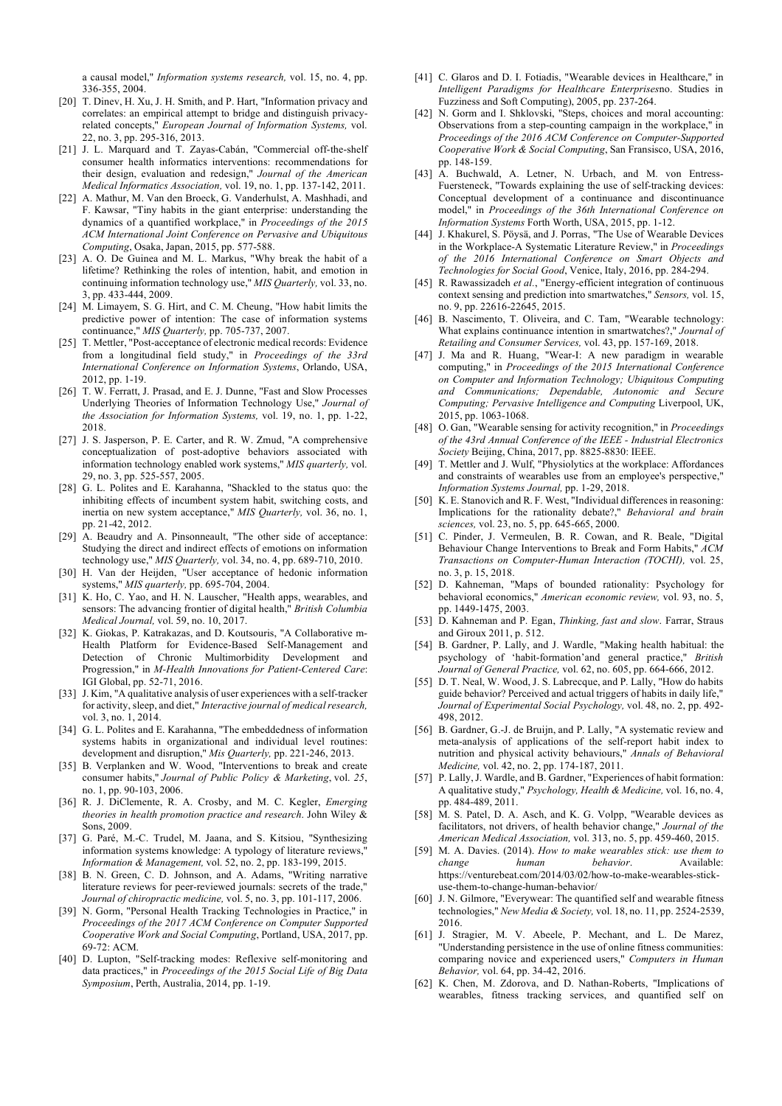a causal model," *Information systems research,* vol. 15, no. 4, pp. 336-355, 2004.

- [20] T. Dinev, H. Xu, J. H. Smith, and P. Hart, "Information privacy and correlates: an empirical attempt to bridge and distinguish privacyrelated concepts," *European Journal of Information Systems,* vol. 22, no. 3, pp. 295-316, 2013.
- [21] J. L. Marquard and T. Zayas-Cabán, "Commercial off-the-shelf consumer health informatics interventions: recommendations for their design, evaluation and redesign," *Journal of the American Medical Informatics Association,* vol. 19, no. 1, pp. 137-142, 2011.
- [22] A. Mathur, M. Van den Broeck, G. Vanderhulst, A. Mashhadi, and F. Kawsar, "Tiny habits in the giant enterprise: understanding the dynamics of a quantified workplace," in *Proceedings of the 2015 ACM International Joint Conference on Pervasive and Ubiquitous Computing*, Osaka, Japan, 2015, pp. 577-588.
- [23] A. O. De Guinea and M. L. Markus, "Why break the habit of a lifetime? Rethinking the roles of intention, habit, and emotion in continuing information technology use," *MIS Quarterly,* vol. 33, no. 3, pp. 433-444, 2009.
- [24] M. Limayem, S. G. Hirt, and C. M. Cheung, "How habit limits the predictive power of intention: The case of information systems continuance," *MIS Quarterly,* pp. 705-737, 2007.
- [25] T. Mettler, "Post-acceptance of electronic medical records: Evidence from a longitudinal field study," in *Proceedings of the 33rd International Conference on Information Systems*, Orlando, USA, 2012, pp. 1-19.
- [26] T. W. Ferratt, J. Prasad, and E. J. Dunne, "Fast and Slow Processes Underlying Theories of Information Technology Use," *Journal of the Association for Information Systems,* vol. 19, no. 1, pp. 1-22, 2018.
- [27] J. S. Jasperson, P. E. Carter, and R. W. Zmud, "A comprehensive conceptualization of post-adoptive behaviors associated with information technology enabled work systems," *MIS quarterly,* vol. 29, no. 3, pp. 525-557, 2005.
- [28] G. L. Polites and E. Karahanna, "Shackled to the status quo: the inhibiting effects of incumbent system habit, switching costs, and inertia on new system acceptance," *MIS Quarterly,* vol. 36, no. 1, pp. 21-42, 2012.
- [29] A. Beaudry and A. Pinsonneault, "The other side of acceptance: Studying the direct and indirect effects of emotions on information technology use," *MIS Quarterly,* vol. 34, no. 4, pp. 689-710, 2010.
- [30] H. Van der Heijden, "User acceptance of hedonic information systems," *MIS quarterly,* pp. 695-704, 2004.
- [31] K. Ho, C. Yao, and H. N. Lauscher, "Health apps, wearables, and sensors: The advancing frontier of digital health," *British Columbia Medical Journal,* vol. 59, no. 10, 2017.
- [32] K. Giokas, P. Katrakazas, and D. Koutsouris, "A Collaborative m-Health Platform for Evidence-Based Self-Management and Detection of Chronic Multimorbidity Development and Progression," in *M-Health Innovations for Patient-Centered Care*: IGI Global, pp. 52-71, 2016.
- [33] J. Kim, "A qualitative analysis of user experiences with a self-tracker for activity, sleep, and diet," *Interactive journal of medical research,*  vol. 3, no. 1, 2014.
- [34] G. L. Polites and E. Karahanna, "The embeddedness of information systems habits in organizational and individual level routines: development and disruption," *Mis Quarterly,* pp. 221-246, 2013.
- [35] B. Verplanken and W. Wood, "Interventions to break and create consumer habits," *Journal of Public Policy & Marketing*, vol. *25*, no. 1, pp. 90-103, 2006.
- [36] R. J. DiClemente, R. A. Crosby, and M. C. Kegler, *Emerging theories in health promotion practice and research*. John Wiley & Sons, 2009.
- [37] G. Paré, M.-C. Trudel, M. Jaana, and S. Kitsiou, "Synthesizing information systems knowledge: A typology of literature reviews," *Information & Management,* vol. 52, no. 2, pp. 183-199, 2015.
- [38] B. N. Green, C. D. Johnson, and A. Adams, "Writing narrative literature reviews for peer-reviewed journals: secrets of the trade," *Journal of chiropractic medicine,* vol. 5, no. 3, pp. 101-117, 2006.
- [39] N. Gorm, "Personal Health Tracking Technologies in Practice," in *Proceedings of the 2017 ACM Conference on Computer Supported Cooperative Work and Social Computing*, Portland, USA, 2017, pp. 69-72: ACM.
- [40] D. Lupton, "Self-tracking modes: Reflexive self-monitoring and data practices," in *Proceedings of the 2015 Social Life of Big Data Symposium*, Perth, Australia, 2014, pp. 1-19.
- [41] C. Glaros and D. I. Fotiadis, "Wearable devices in Healthcare," in *Intelligent Paradigms for Healthcare Enterprises*no. Studies in Fuzziness and Soft Computing), 2005, pp. 237-264.
- [42] N. Gorm and I. Shklovski, "Steps, choices and moral accounting: Observations from a step-counting campaign in the workplace," in *Proceedings of the 2016 ACM Conference on Computer-Supported Cooperative Work & Social Computing*, San Fransisco, USA, 2016, pp. 148-159.
- [43] A. Buchwald, A. Letner, N. Urbach, and M. von Entress-Fuersteneck, "Towards explaining the use of self-tracking devices: Conceptual development of a continuance and discontinuance model," in *Proceedings of the 36th International Conference on Information Systems* Forth Worth, USA, 2015, pp. 1-12.
- [44] J. Khakurel, S. Pöysä, and J. Porras, "The Use of Wearable Devices in the Workplace-A Systematic Literature Review," in *Proceedings of the 2016 International Conference on Smart Objects and Technologies for Social Good*, Venice, Italy, 2016, pp. 284-294.
- [45] R. Rawassizadeh et al., "Energy-efficient integration of continuous context sensing and prediction into smartwatches," *Sensors,* vol. 15, no. 9, pp. 22616-22645, 2015.
- [46] B. Nascimento, T. Oliveira, and C. Tam, "Wearable technology: What explains continuance intention in smartwatches?," *Journal of Retailing and Consumer Services,* vol. 43, pp. 157-169, 2018.
- [47] J. Ma and R. Huang, "Wear-I: A new paradigm in wearable computing," in *Proceedings of the 2015 International Conference on Computer and Information Technology; Ubiquitous Computing and Communications; Dependable, Autonomic and Secure Computing; Pervasive Intelligence and Computing* Liverpool, UK, 2015, pp. 1063-1068.
- [48] O. Gan, "Wearable sensing for activity recognition," in *Proceedings of the 43rd Annual Conference of the IEEE - Industrial Electronics Society* Beijing, China, 2017, pp. 8825-8830: IEEE.
- [49] T. Mettler and J. Wulf, "Physiolytics at the workplace: Affordances and constraints of wearables use from an employee's perspective," *Information Systems Journal,* pp. 1-29, 2018.
- [50] K. E. Stanovich and R. F. West, "Individual differences in reasoning: Implications for the rationality debate?," *Behavioral and brain sciences,* vol. 23, no. 5, pp. 645-665, 2000.
- [51] C. Pinder, J. Vermeulen, B. R. Cowan, and R. Beale, "Digital Behaviour Change Interventions to Break and Form Habits," *ACM Transactions on Computer-Human Interaction (TOCHI),* vol. 25, no. 3, p. 15, 2018.
- [52] D. Kahneman, "Maps of bounded rationality: Psychology for behavioral economics," *American economic review,* vol. 93, no. 5, pp. 1449-1475, 2003.
- [53] D. Kahneman and P. Egan, *Thinking, fast and slow*. Farrar, Straus and Giroux 2011, p. 512.
- [54] B. Gardner, P. Lally, and J. Wardle, "Making health habitual: the psychology of 'habit-formation'and general practice," *British Journal of General Practice,* vol. 62, no. 605, pp. 664-666, 2012.
- [55] D. T. Neal, W. Wood, J. S. Labrecque, and P. Lally, "How do habits guide behavior? Perceived and actual triggers of habits in daily life," *Journal of Experimental Social Psychology,* vol. 48, no. 2, pp. 492- 498, 2012.
- [56] B. Gardner, G.-J. de Bruijn, and P. Lally, "A systematic review and meta-analysis of applications of the self-report habit index to nutrition and physical activity behaviours," *Annals of Behavioral Medicine,* vol. 42, no. 2, pp. 174-187, 2011.
- [57] P. Lally, J. Wardle, and B. Gardner, "Experiences of habit formation: A qualitative study," *Psychology, Health & Medicine,* vol. 16, no. 4, pp. 484-489, 2011.
- [58] M. S. Patel, D. A. Asch, and K. G. Volpp, "Wearable devices as facilitators, not drivers, of health behavior change," *Journal of the American Medical Association,* vol. 313, no. 5, pp. 459-460, 2015.
- [59] M. A. Davies. (2014). *How to make wearables stick: use them to change human behavior*. Available: https://venturebeat.com/2014/03/02/how-to-make-wearables-stickuse-them-to-change-human-behavior/
- [60] J. N. Gilmore, "Everywear: The quantified self and wearable fitness technologies," *New Media & Society,* vol. 18, no. 11, pp. 2524-2539, 2016.
- [61] J. Stragier, M. V. Abeele, P. Mechant, and L. De Marez, "Understanding persistence in the use of online fitness communities: comparing novice and experienced users," *Computers in Human Behavior,* vol. 64, pp. 34-42, 2016.
- [62] K. Chen, M. Zdorova, and D. Nathan-Roberts, "Implications of wearables, fitness tracking services, and quantified self on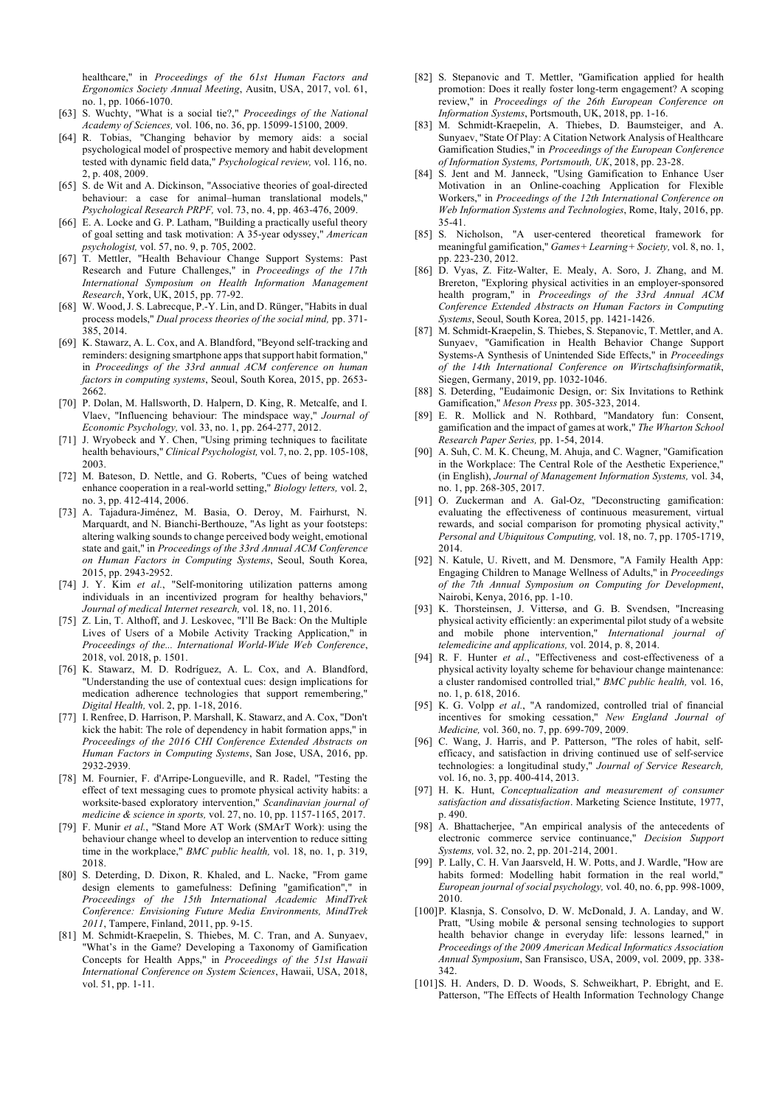healthcare," in *Proceedings of the 61st Human Factors and Ergonomics Society Annual Meeting*, Ausitn, USA, 2017, vol. 61, no. 1, pp. 1066-1070.

- [63] S. Wuchty, "What is a social tie?," *Proceedings of the National Academy of Sciences,* vol. 106, no. 36, pp. 15099-15100, 2009.
- [64] R. Tobias, "Changing behavior by memory aids: a social psychological model of prospective memory and habit development tested with dynamic field data," *Psychological review,* vol. 116, no. 2, p. 408, 2009.
- [65] S. de Wit and A. Dickinson, "Associative theories of goal-directed behaviour: a case for animal–human translational models," *Psychological Research PRPF,* vol. 73, no. 4, pp. 463-476, 2009.
- [66] E. A. Locke and G. P. Latham, "Building a practically useful theory of goal setting and task motivation: A 35-year odyssey," *American psychologist,* vol. 57, no. 9, p. 705, 2002.
- [67] T. Mettler, "Health Behaviour Change Support Systems: Past Research and Future Challenges," in *Proceedings of the 17th International Symposium on Health Information Management Research*, York, UK, 2015, pp. 77-92.
- [68] W. Wood, J. S. Labrecque, P.-Y. Lin, and D. Rünger, "Habits in dual process models," *Dual process theories of the social mind,* pp. 371- 385, 2014.
- [69] K. Stawarz, A. L. Cox, and A. Blandford, "Beyond self-tracking and reminders: designing smartphone apps that support habit formation," in *Proceedings of the 33rd annual ACM conference on human factors in computing systems*, Seoul, South Korea, 2015, pp. 2653- 2662.
- [70] P. Dolan, M. Hallsworth, D. Halpern, D. King, R. Metcalfe, and I. Vlaev, "Influencing behaviour: The mindspace way," *Journal of Economic Psychology,* vol. 33, no. 1, pp. 264-277, 2012.
- [71] J. Wryobeck and Y. Chen, "Using priming techniques to facilitate health behaviours," *Clinical Psychologist,* vol. 7, no. 2, pp. 105-108, 2003.
- [72] M. Bateson, D. Nettle, and G. Roberts, "Cues of being watched enhance cooperation in a real-world setting," *Biology letters,* vol. 2, no. 3, pp. 412-414, 2006.
- [73] A. Tajadura-Jiménez, M. Basia, O. Deroy, M. Fairhurst, N. Marquardt, and N. Bianchi-Berthouze, "As light as your footsteps: altering walking sounds to change perceived body weight, emotional state and gait," in *Proceedings of the 33rd Annual ACM Conference on Human Factors in Computing Systems*, Seoul, South Korea, 2015, pp. 2943-2952.
- [74] J. Y. Kim *et al.*, "Self-monitoring utilization patterns among individuals in an incentivized program for healthy behaviors, *Journal of medical Internet research,* vol. 18, no. 11, 2016.
- [75] Z. Lin, T. Althoff, and J. Leskovec, "I'll Be Back: On the Multiple Lives of Users of a Mobile Activity Tracking Application," in *Proceedings of the... International World-Wide Web Conference*, 2018, vol. 2018, p. 1501.
- [76] K. Stawarz, M. D. Rodríguez, A. L. Cox, and A. Blandford, "Understanding the use of contextual cues: design implications for medication adherence technologies that support remembering,' *Digital Health,* vol. 2, pp. 1-18, 2016.
- [77] I. Renfree, D. Harrison, P. Marshall, K. Stawarz, and A. Cox, "Don't kick the habit: The role of dependency in habit formation apps," in *Proceedings of the 2016 CHI Conference Extended Abstracts on Human Factors in Computing Systems*, San Jose, USA, 2016, pp. 2932-2939.
- [78] M. Fournier, F. d'Arripe-Longueville, and R. Radel, "Testing the effect of text messaging cues to promote physical activity habits: a worksite-based exploratory intervention," *Scandinavian journal of medicine & science in sports,* vol. 27, no. 10, pp. 1157-1165, 2017.
- [79] F. Munir *et al.*, "Stand More AT Work (SMArT Work): using the behaviour change wheel to develop an intervention to reduce sitting time in the workplace," *BMC public health,* vol. 18, no. 1, p. 319, 2018.
- [80] S. Deterding, D. Dixon, R. Khaled, and L. Nacke, "From game design elements to gamefulness: Defining "gamification"," in *Proceedings of the 15th International Academic MindTrek Conference: Envisioning Future Media Environments, MindTrek 2011*, Tampere, Finland, 2011, pp. 9-15.
- [81] M. Schmidt-Kraepelin, S. Thiebes, M. C. Tran, and A. Sunyaev, "What's in the Game? Developing a Taxonomy of Gamification Concepts for Health Apps," in *Proceedings of the 51st Hawaii International Conference on System Sciences*, Hawaii, USA, 2018, vol. 51, pp. 1-11.
- [82] S. Stepanovic and T. Mettler, "Gamification applied for health promotion: Does it really foster long-term engagement? A scoping review," in *Proceedings of the 26th European Conference on Information Systems*, Portsmouth, UK, 2018, pp. 1-16.
- [83] M. Schmidt-Kraepelin, A. Thiebes, D. Baumsteiger, and A. Sunyaev, "State Of Play: A Citation Network Analysis of Healthcare Gamification Studies," in *Proceedings of the European Conference of Information Systems, Portsmouth, UK*, 2018, pp. 23-28.
- [84] S. Jent and M. Janneck, "Using Gamification to Enhance User Motivation in an Online-coaching Application for Flexible Workers," in *Proceedings of the 12th International Conference on Web Information Systems and Technologies*, Rome, Italy, 2016, pp. 35-41.
- [85] S. Nicholson, "A user-centered theoretical framework for meaningful gamification," *Games+ Learning+ Society,* vol. 8, no. 1, pp. 223-230, 2012.
- [86] D. Vyas, Z. Fitz-Walter, E. Mealy, A. Soro, J. Zhang, and M. Brereton, "Exploring physical activities in an employer-sponsored health program," in *Proceedings of the 33rd Annual ACM Conference Extended Abstracts on Human Factors in Computing Systems*, Seoul, South Korea, 2015, pp. 1421-1426.
- [87] M. Schmidt-Kraepelin, S. Thiebes, S. Stepanovic, T. Mettler, and A. Sunyaev, "Gamification in Health Behavior Change Support Systems-A Synthesis of Unintended Side Effects," in *Proceedings of the 14th International Conference on Wirtschaftsinformatik*, Siegen, Germany, 2019, pp. 1032-1046.
- [88] S. Deterding, "Eudaimonic Design, or: Six Invitations to Rethink Gamification," *Meson Press* pp. 305-323, 2014.
- [89] E. R. Mollick and N. Rothbard, "Mandatory fun: Consent, gamification and the impact of games at work," *The Wharton School Research Paper Series,* pp. 1-54, 2014.
- [90] A. Suh, C. M. K. Cheung, M. Ahuja, and C. Wagner, "Gamification in the Workplace: The Central Role of the Aesthetic Experience," (in English), *Journal of Management Information Systems,* vol. 34, no. 1, pp. 268-305, 2017.
- [91] O. Zuckerman and A. Gal-Oz, "Deconstructing gamification: evaluating the effectiveness of continuous measurement, virtual rewards, and social comparison for promoting physical activity," *Personal and Ubiquitous Computing,* vol. 18, no. 7, pp. 1705-1719, 2014.
- [92] N. Katule, U. Rivett, and M. Densmore, "A Family Health App: Engaging Children to Manage Wellness of Adults," in *Proceedings of the 7th Annual Symposium on Computing for Development*, Nairobi, Kenya, 2016, pp. 1-10.
- [93] K. Thorsteinsen, J. Vittersø, and G. B. Svendsen, "Increasing physical activity efficiently: an experimental pilot study of a website and mobile phone intervention," *International journal of telemedicine and applications,* vol. 2014, p. 8, 2014.
- [94] R. F. Hunter *et al.*, "Effectiveness and cost-effectiveness of a physical activity loyalty scheme for behaviour change maintenance: a cluster randomised controlled trial," *BMC public health,* vol. 16, no. 1, p. 618, 2016.
- [95] K. G. Volpp *et al.*, "A randomized, controlled trial of financial incentives for smoking cessation," *New England Journal of Medicine,* vol. 360, no. 7, pp. 699-709, 2009.
- [96] C. Wang, J. Harris, and P. Patterson, "The roles of habit, selfefficacy, and satisfaction in driving continued use of self-service technologies: a longitudinal study," *Journal of Service Research,*  vol. 16, no. 3, pp. 400-414, 2013.
- [97] H. K. Hunt, *Conceptualization and measurement of consumer satisfaction and dissatisfaction*. Marketing Science Institute, 1977, p. 490.
- [98] A. Bhattacherjee, "An empirical analysis of the antecedents of electronic commerce service continuance," *Decision Support Systems,* vol. 32, no. 2, pp. 201-214, 2001.
- [99] P. Lally, C. H. Van Jaarsveld, H. W. Potts, and J. Wardle, "How are habits formed: Modelling habit formation in the real world," *European journal of social psychology,* vol. 40, no. 6, pp. 998-1009, 2010.
- [100]P. Klasnja, S. Consolvo, D. W. McDonald, J. A. Landay, and W. Pratt, "Using mobile & personal sensing technologies to support health behavior change in everyday life: lessons learned," *Proceedings of the 2009 American Medical Informatics Association Annual Symposium*, San Fransisco, USA, 2009, vol. 2009, pp. 338- 342.
- [101]S. H. Anders, D. D. Woods, S. Schweikhart, P. Ebright, and E. Patterson, "The Effects of Health Information Technology Change